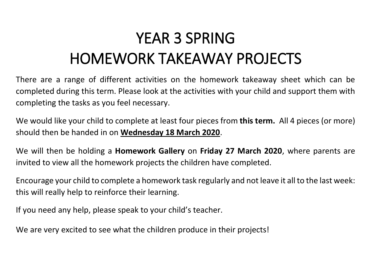## YEAR 3 SPRING HOMEWORK TAKEAWAY PROJECTS

There are a range of different activities on the homework takeaway sheet which can be completed during this term. Please look at the activities with your child and support them with completing the tasks as you feel necessary.

We would like your child to complete at least four pieces from **this term.** All 4 pieces (or more) should then be handed in on **Wednesday 18 March 2020**.

We will then be holding a **Homework Gallery** on **Friday 27 March 2020**, where parents are invited to view all the homework projects the children have completed.

Encourage your child to complete a homework task regularly and not leave it all to the last week: this will really help to reinforce their learning.

If you need any help, please speak to your child's teacher.

We are very excited to see what the children produce in their projects!